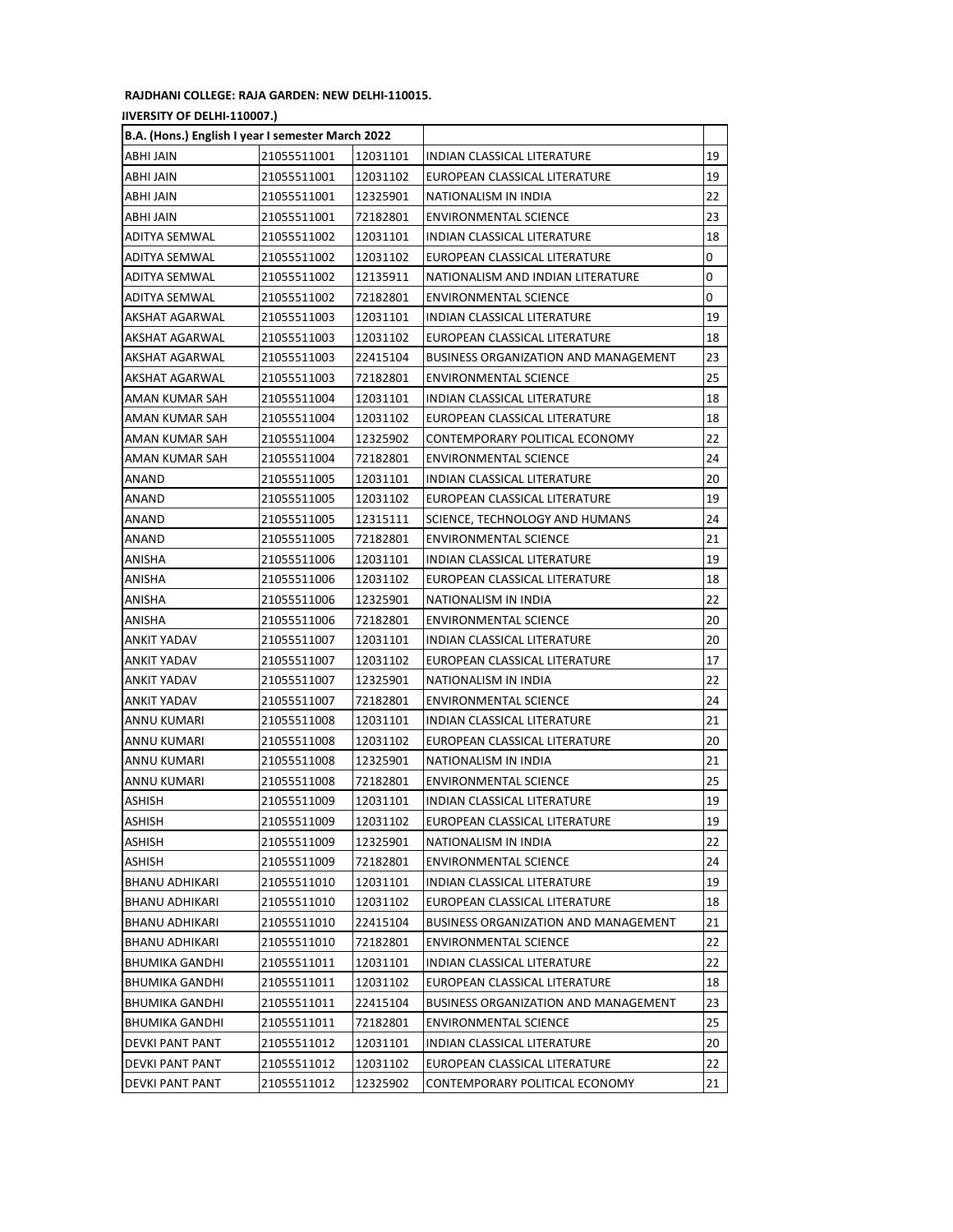## **RAJDHANI COLLEGE: RAJA GARDEN: NEW DELHI-110015.**

## **(UNIVERSITY OF DELHI-110007.)**

| B.A. (Hons.) English I year I semester March 2022 |             |          |                                             |    |
|---------------------------------------------------|-------------|----------|---------------------------------------------|----|
| ABHI JAIN                                         | 21055511001 | 12031101 | INDIAN CLASSICAL LITERATURE                 | 19 |
| ABHI JAIN                                         | 21055511001 | 12031102 | EUROPEAN CLASSICAL LITERATURE               | 19 |
| ABHI JAIN                                         | 21055511001 | 12325901 | NATIONALISM IN INDIA                        | 22 |
| ABHI JAIN                                         | 21055511001 | 72182801 | <b>ENVIRONMENTAL SCIENCE</b>                | 23 |
| ADITYA SEMWAL                                     | 21055511002 | 12031101 | INDIAN CLASSICAL LITERATURE                 | 18 |
| ADITYA SEMWAL                                     | 21055511002 | 12031102 | EUROPEAN CLASSICAL LITERATURE               | 0  |
| <b>ADITYA SEMWAL</b>                              | 21055511002 | 12135911 | NATIONALISM AND INDIAN LITERATURE           | 0  |
| ADITYA SEMWAL                                     | 21055511002 | 72182801 | <b>ENVIRONMENTAL SCIENCE</b>                | 0  |
| AKSHAT AGARWAL                                    | 21055511003 | 12031101 | INDIAN CLASSICAL LITERATURE                 | 19 |
| AKSHAT AGARWAL                                    | 21055511003 | 12031102 | EUROPEAN CLASSICAL LITERATURE               | 18 |
| AKSHAT AGARWAL                                    | 21055511003 | 22415104 | <b>BUSINESS ORGANIZATION AND MANAGEMENT</b> | 23 |
| AKSHAT AGARWAL                                    | 21055511003 | 72182801 | ENVIRONMENTAL SCIENCE                       | 25 |
| AMAN KUMAR SAH                                    | 21055511004 | 12031101 | INDIAN CLASSICAL LITERATURE                 | 18 |
| AMAN KUMAR SAH                                    | 21055511004 | 12031102 | EUROPEAN CLASSICAL LITERATURE               | 18 |
| AMAN KUMAR SAH                                    | 21055511004 | 12325902 | CONTEMPORARY POLITICAL ECONOMY              | 22 |
| AMAN KUMAR SAH                                    | 21055511004 | 72182801 | <b>ENVIRONMENTAL SCIENCE</b>                | 24 |
| ANAND                                             | 21055511005 | 12031101 | INDIAN CLASSICAL LITERATURE                 | 20 |
| ANAND                                             | 21055511005 | 12031102 | EUROPEAN CLASSICAL LITERATURE               | 19 |
| ANAND                                             | 21055511005 | 12315111 | SCIENCE, TECHNOLOGY AND HUMANS              | 24 |
| ANAND                                             | 21055511005 | 72182801 | ENVIRONMENTAL SCIENCE                       | 21 |
| ANISHA                                            | 21055511006 | 12031101 | INDIAN CLASSICAL LITERATURE                 | 19 |
| ANISHA                                            | 21055511006 | 12031102 | EUROPEAN CLASSICAL LITERATURE               | 18 |
| ANISHA                                            | 21055511006 | 12325901 | NATIONALISM IN INDIA                        | 22 |
| ANISHA                                            | 21055511006 | 72182801 | <b>ENVIRONMENTAL SCIENCE</b>                | 20 |
| ANKIT YADAV                                       | 21055511007 | 12031101 | INDIAN CLASSICAL LITERATURE                 | 20 |
| <b>ANKIT YADAV</b>                                | 21055511007 | 12031102 | EUROPEAN CLASSICAL LITERATURE               | 17 |
| ANKIT YADAV                                       | 21055511007 | 12325901 | NATIONALISM IN INDIA                        | 22 |
| ANKIT YADAV                                       | 21055511007 | 72182801 | ENVIRONMENTAL SCIENCE                       | 24 |
| ANNU KUMARI                                       | 21055511008 | 12031101 | INDIAN CLASSICAL LITERATURE                 | 21 |
| ANNU KUMARI                                       | 21055511008 | 12031102 | EUROPEAN CLASSICAL LITERATURE               | 20 |
| ANNU KUMARI                                       | 21055511008 | 12325901 | NATIONALISM IN INDIA                        | 21 |
| ANNU KUMARI                                       | 21055511008 | 72182801 | <b>ENVIRONMENTAL SCIENCE</b>                | 25 |
| ASHISH                                            | 21055511009 | 12031101 | INDIAN CLASSICAL LITERATURE                 | 19 |
| <b>ASHISH</b>                                     | 21055511009 | 12031102 | EUROPEAN CLASSICAL LITERATURE               | 19 |
| ASHISH                                            | 21055511009 | 12325901 | NATIONALISM IN INDIA                        | 22 |
| ASHISH                                            | 21055511009 | 72182801 | ENVIRONMENTAL SCIENCE                       | 24 |
| <b>BHANU ADHIKARI</b>                             | 21055511010 | 12031101 | INDIAN CLASSICAL LITERATURE                 | 19 |
| <b>BHANU ADHIKARI</b>                             | 21055511010 | 12031102 | EUROPEAN CLASSICAL LITERATURE               | 18 |
| <b>BHANU ADHIKARI</b>                             | 21055511010 | 22415104 | <b>BUSINESS ORGANIZATION AND MANAGEMENT</b> | 21 |
| BHANU ADHIKARI                                    | 21055511010 | 72182801 | ENVIRONMENTAL SCIENCE                       | 22 |
| <b>BHUMIKA GANDHI</b>                             | 21055511011 | 12031101 | INDIAN CLASSICAL LITERATURE                 | 22 |
| BHUMIKA GANDHI                                    | 21055511011 | 12031102 | EUROPEAN CLASSICAL LITERATURE               | 18 |
| BHUMIKA GANDHI                                    | 21055511011 | 22415104 | <b>BUSINESS ORGANIZATION AND MANAGEMENT</b> | 23 |
| <b>BHUMIKA GANDHI</b>                             | 21055511011 | 72182801 | ENVIRONMENTAL SCIENCE                       | 25 |
| DEVKI PANT PANT                                   | 21055511012 | 12031101 | INDIAN CLASSICAL LITERATURE                 | 20 |
| DEVKI PANT PANT                                   | 21055511012 | 12031102 | EUROPEAN CLASSICAL LITERATURE               | 22 |
| DEVKI PANT PANT                                   | 21055511012 | 12325902 | CONTEMPORARY POLITICAL ECONOMY              | 21 |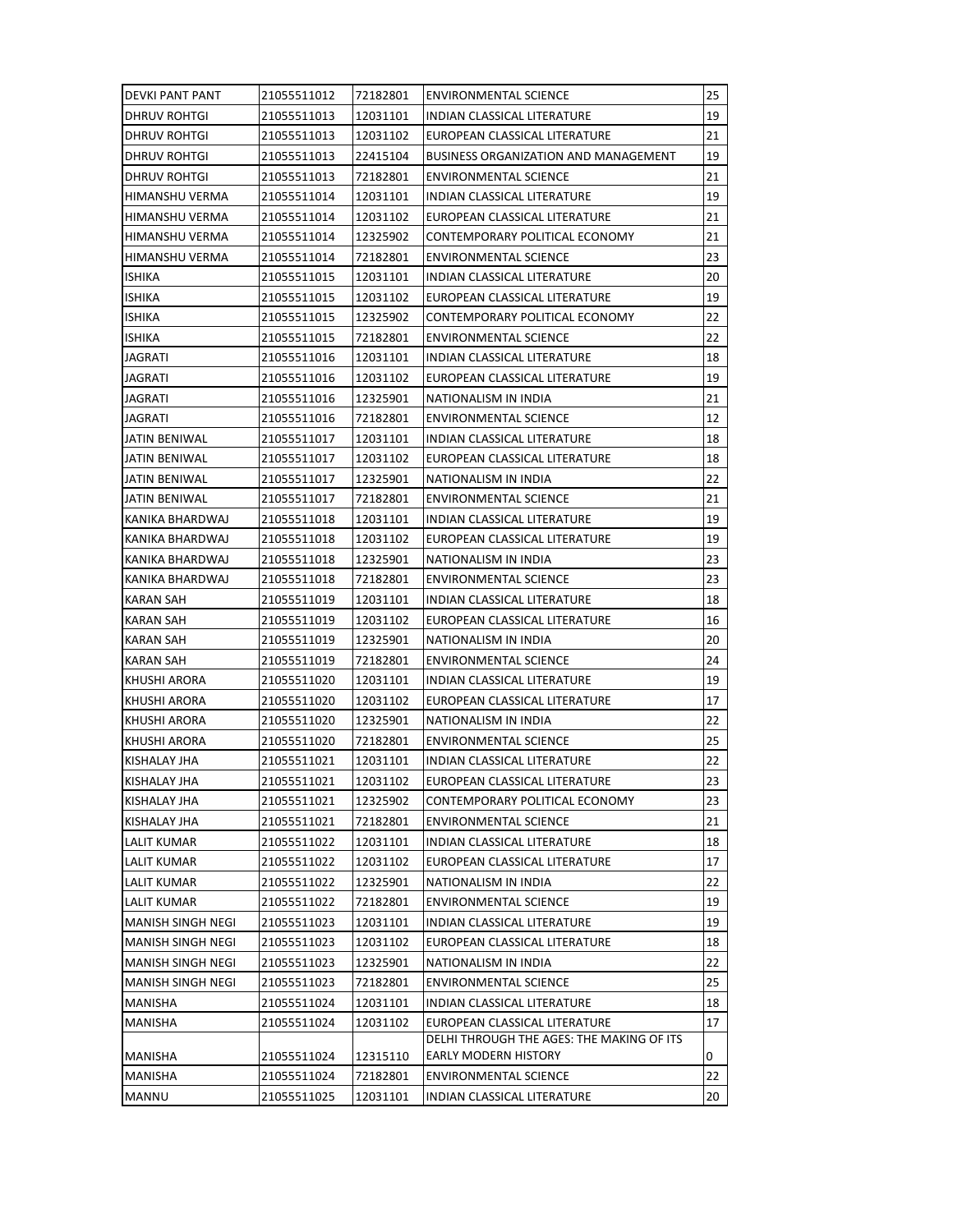| <b>DEVKI PANT PANT</b>   | 21055511012 | 72182801 | ENVIRONMENTAL SCIENCE                     | 25 |
|--------------------------|-------------|----------|-------------------------------------------|----|
| DHRUV ROHTGI             | 21055511013 | 12031101 | INDIAN CLASSICAL LITERATURE               | 19 |
| DHRUV ROHTGI             | 21055511013 | 12031102 | EUROPEAN CLASSICAL LITERATURE             | 21 |
| <b>DHRUV ROHTGI</b>      | 21055511013 | 22415104 | BUSINESS ORGANIZATION AND MANAGEMENT      | 19 |
| <b>DHRUV ROHTGI</b>      | 21055511013 | 72182801 | <b>ENVIRONMENTAL SCIENCE</b>              | 21 |
| HIMANSHU VERMA           | 21055511014 | 12031101 | INDIAN CLASSICAL LITERATURE               | 19 |
| <b>HIMANSHU VERMA</b>    | 21055511014 | 12031102 | EUROPEAN CLASSICAL LITERATURE             | 21 |
| HIMANSHU VERMA           | 21055511014 | 12325902 | CONTEMPORARY POLITICAL ECONOMY            | 21 |
| HIMANSHU VERMA           | 21055511014 | 72182801 | ENVIRONMENTAL SCIENCE                     | 23 |
| <b>ISHIKA</b>            | 21055511015 | 12031101 | INDIAN CLASSICAL LITERATURE               | 20 |
| <b>ISHIKA</b>            | 21055511015 | 12031102 | EUROPEAN CLASSICAL LITERATURE             | 19 |
| <b>ISHIKA</b>            | 21055511015 | 12325902 | CONTEMPORARY POLITICAL ECONOMY            | 22 |
| <b>ISHIKA</b>            | 21055511015 | 72182801 | ENVIRONMENTAL SCIENCE                     | 22 |
| JAGRATI                  | 21055511016 | 12031101 | INDIAN CLASSICAL LITERATURE               | 18 |
| JAGRATI                  | 21055511016 | 12031102 | EUROPEAN CLASSICAL LITERATURE             | 19 |
| JAGRATI                  | 21055511016 | 12325901 | NATIONALISM IN INDIA                      | 21 |
| JAGRATI                  | 21055511016 | 72182801 | <b>ENVIRONMENTAL SCIENCE</b>              | 12 |
| JATIN BENIWAL            | 21055511017 | 12031101 | INDIAN CLASSICAL LITERATURE               | 18 |
| JATIN BENIWAL            | 21055511017 | 12031102 | EUROPEAN CLASSICAL LITERATURE             | 18 |
| JATIN BENIWAL            | 21055511017 | 12325901 | NATIONALISM IN INDIA                      | 22 |
| JATIN BENIWAL            | 21055511017 | 72182801 | <b>ENVIRONMENTAL SCIENCE</b>              | 21 |
| KANIKA BHARDWAJ          | 21055511018 | 12031101 | INDIAN CLASSICAL LITERATURE               | 19 |
| KANIKA BHARDWAJ          | 21055511018 | 12031102 | EUROPEAN CLASSICAL LITERATURE             | 19 |
| KANIKA BHARDWAJ          | 21055511018 | 12325901 | NATIONALISM IN INDIA                      | 23 |
| KANIKA BHARDWAJ          | 21055511018 | 72182801 | <b>ENVIRONMENTAL SCIENCE</b>              | 23 |
| <b>KARAN SAH</b>         | 21055511019 | 12031101 | INDIAN CLASSICAL LITERATURE               | 18 |
| <b>KARAN SAH</b>         | 21055511019 | 12031102 | EUROPEAN CLASSICAL LITERATURE             | 16 |
| KARAN SAH                | 21055511019 | 12325901 | NATIONALISM IN INDIA                      | 20 |
| KARAN SAH                | 21055511019 | 72182801 | <b>ENVIRONMENTAL SCIENCE</b>              | 24 |
| KHUSHI ARORA             | 21055511020 | 12031101 | INDIAN CLASSICAL LITERATURE               | 19 |
| KHUSHI ARORA             | 21055511020 | 12031102 | EUROPEAN CLASSICAL LITERATURE             | 17 |
| KHUSHI ARORA             | 21055511020 | 12325901 | NATIONALISM IN INDIA                      | 22 |
| KHUSHI ARORA             | 21055511020 | 72182801 | <b>ENVIRONMENTAL SCIENCE</b>              | 25 |
| KISHALAY JHA             | 21055511021 | 12031101 | INDIAN CLASSICAL LITERATURE               | 22 |
| <b>KISHALAY JHA</b>      | 21055511021 | 12031102 | EUROPEAN CLASSICAL LITERATURE             | 23 |
| KISHALAY JHA             | 21055511021 | 12325902 | CONTEMPORARY POLITICAL ECONOMY            | 23 |
| KISHALAY JHA             | 21055511021 | 72182801 | ENVIRONMENTAL SCIENCE                     | 21 |
| <b>LALIT KUMAR</b>       | 21055511022 | 12031101 | INDIAN CLASSICAL LITERATURE               | 18 |
| <b>LALIT KUMAR</b>       | 21055511022 | 12031102 | EUROPEAN CLASSICAL LITERATURE             | 17 |
| <b>LALIT KUMAR</b>       | 21055511022 | 12325901 | NATIONALISM IN INDIA                      | 22 |
| <b>LALIT KUMAR</b>       | 21055511022 | 72182801 | ENVIRONMENTAL SCIENCE                     | 19 |
| <b>MANISH SINGH NEGI</b> | 21055511023 | 12031101 | INDIAN CLASSICAL LITERATURE               | 19 |
| MANISH SINGH NEGI        | 21055511023 | 12031102 | EUROPEAN CLASSICAL LITERATURE             | 18 |
| <b>MANISH SINGH NEGI</b> | 21055511023 | 12325901 | NATIONALISM IN INDIA                      | 22 |
| <b>MANISH SINGH NEGI</b> | 21055511023 | 72182801 | <b>ENVIRONMENTAL SCIENCE</b>              | 25 |
| MANISHA                  | 21055511024 | 12031101 | INDIAN CLASSICAL LITERATURE               | 18 |
| MANISHA                  | 21055511024 | 12031102 | EUROPEAN CLASSICAL LITERATURE             | 17 |
|                          |             |          | DELHI THROUGH THE AGES: THE MAKING OF ITS |    |
| <b>MANISHA</b>           | 21055511024 | 12315110 | EARLY MODERN HISTORY                      | 0  |
| <b>MANISHA</b>           | 21055511024 | 72182801 | <b>ENVIRONMENTAL SCIENCE</b>              | 22 |
| <b>MANNU</b>             | 21055511025 | 12031101 | INDIAN CLASSICAL LITERATURE               | 20 |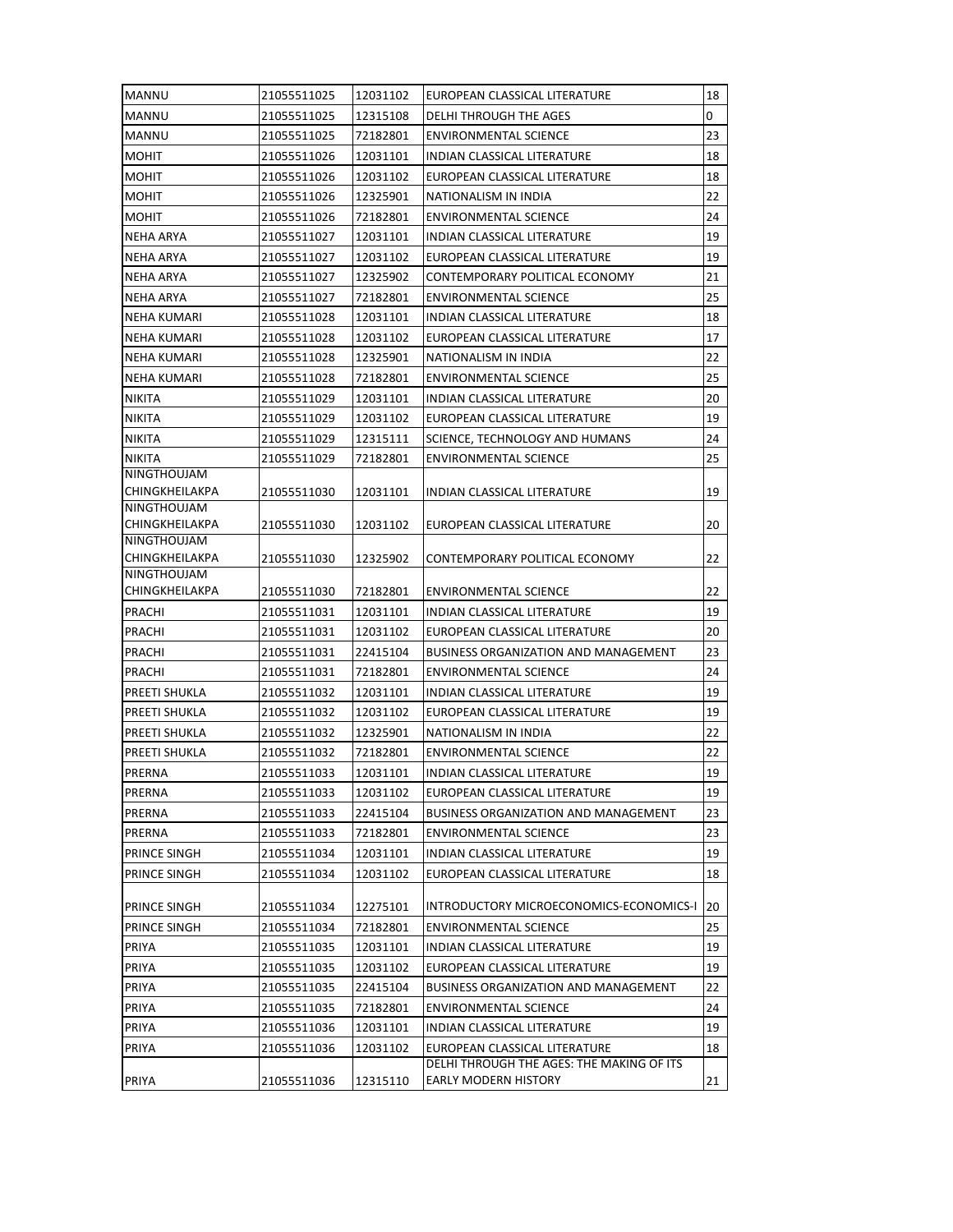| <b>MANNU</b>                         | 21055511025                | 12031102             | EUROPEAN CLASSICAL LITERATURE                                                | 18       |
|--------------------------------------|----------------------------|----------------------|------------------------------------------------------------------------------|----------|
| MANNU                                | 21055511025                | 12315108             | DELHI THROUGH THE AGES                                                       | 0        |
| <b>MANNU</b>                         | 21055511025                | 72182801             | ENVIRONMENTAL SCIENCE                                                        | 23       |
| <b>MOHIT</b>                         | 21055511026                | 12031101             | INDIAN CLASSICAL LITERATURE                                                  | 18       |
| <b>MOHIT</b>                         | 21055511026                | 12031102             | EUROPEAN CLASSICAL LITERATURE                                                | 18       |
| MOHIT                                | 21055511026                | 12325901             | NATIONALISM IN INDIA                                                         | 22       |
| <b>MOHIT</b>                         | 21055511026                | 72182801             | <b>ENVIRONMENTAL SCIENCE</b>                                                 | 24       |
| <b>NEHA ARYA</b>                     | 21055511027                | 12031101             | INDIAN CLASSICAL LITERATURE                                                  | 19       |
| NEHA ARYA                            | 21055511027                | 12031102             | EUROPEAN CLASSICAL LITERATURE                                                | 19       |
| NEHA ARYA                            | 21055511027                | 12325902             | CONTEMPORARY POLITICAL ECONOMY                                               | 21       |
| NEHA ARYA                            | 21055511027                | 72182801             | <b>ENVIRONMENTAL SCIENCE</b>                                                 | 25       |
| NEHA KUMARI                          | 21055511028                | 12031101             | INDIAN CLASSICAL LITERATURE                                                  | 18       |
| NEHA KUMARI                          | 21055511028                | 12031102             | EUROPEAN CLASSICAL LITERATURE                                                | 17       |
| NEHA KUMARI                          | 21055511028                | 12325901             | NATIONALISM IN INDIA                                                         | 22       |
| NEHA KUMARI                          | 21055511028                | 72182801             | ENVIRONMENTAL SCIENCE                                                        | 25       |
| <b>NIKITA</b>                        | 21055511029                | 12031101             | <b>INDIAN CLASSICAL LITERATURE</b>                                           | 20       |
| <b>NIKITA</b>                        | 21055511029                | 12031102             | EUROPEAN CLASSICAL LITERATURE                                                | 19       |
| <b>NIKITA</b>                        | 21055511029                | 12315111             | SCIENCE, TECHNOLOGY AND HUMANS                                               | 24       |
| <b>NIKITA</b>                        | 21055511029                | 72182801             | <b>ENVIRONMENTAL SCIENCE</b>                                                 | 25       |
| <b>NINGTHOUJAM</b>                   |                            |                      |                                                                              |          |
| CHINGKHEILAKPA<br><b>NINGTHOUJAM</b> | 21055511030                | 12031101             | INDIAN CLASSICAL LITERATURE                                                  | 19       |
| CHINGKHEILAKPA                       | 21055511030                | 12031102             | EUROPEAN CLASSICAL LITERATURE                                                | 20       |
| <b>NINGTHOUJAM</b>                   |                            |                      |                                                                              |          |
| CHINGKHEILAKPA                       | 21055511030                | 12325902             | CONTEMPORARY POLITICAL ECONOMY                                               | 22       |
| NINGTHOUJAM                          |                            |                      |                                                                              | 22       |
| CHINGKHEILAKPA                       | 21055511030                | 72182801             | <b>ENVIRONMENTAL SCIENCE</b>                                                 | 19       |
| PRACHI                               | 21055511031                | 12031101             | INDIAN CLASSICAL LITERATURE                                                  |          |
| PRACHI<br>PRACHI                     | 21055511031                | 12031102<br>22415104 | EUROPEAN CLASSICAL LITERATURE<br><b>BUSINESS ORGANIZATION AND MANAGEMENT</b> | 20<br>23 |
| PRACHI                               | 21055511031<br>21055511031 |                      |                                                                              | 24       |
| <b>PREETI SHUKLA</b>                 | 21055511032                | 72182801<br>12031101 | ENVIRONMENTAL SCIENCE<br>INDIAN CLASSICAL LITERATURE                         | 19       |
| <b>PREETI SHUKLA</b>                 | 21055511032                | 12031102             | EUROPEAN CLASSICAL LITERATURE                                                | 19       |
| <b>PREETI SHUKLA</b>                 | 21055511032                | 12325901             | NATIONALISM IN INDIA                                                         | 22       |
| <b>PREETI SHUKLA</b>                 | 21055511032                | 72182801             | <b>ENVIRONMENTAL SCIENCE</b>                                                 | 22       |
| <b>PRERNA</b>                        | 21055511033                | 12031101             | INDIAN CLASSICAL LITERATURE                                                  | 19       |
| PRERNA                               | 21055511033                | 12031102             | EUROPEAN CLASSICAL LITERATURE                                                | 19       |
| PRERNA                               | 21055511033                | 22415104             | <b>BUSINESS ORGANIZATION AND MANAGEMENT</b>                                  | 23       |
| PRERNA                               | 21055511033                | 72182801             | <b>ENVIRONMENTAL SCIENCE</b>                                                 | 23       |
| <b>PRINCE SINGH</b>                  | 21055511034                | 12031101             | INDIAN CLASSICAL LITERATURE                                                  | 19       |
| PRINCE SINGH                         | 21055511034                | 12031102             | EUROPEAN CLASSICAL LITERATURE                                                | 18       |
|                                      |                            |                      |                                                                              |          |
| PRINCE SINGH                         | 21055511034                | 12275101             | INTRODUCTORY MICROECONOMICS-ECONOMICS-I                                      | 20       |
| PRINCE SINGH                         | 21055511034                | 72182801             | <b>ENVIRONMENTAL SCIENCE</b>                                                 | 25       |
| PRIYA                                | 21055511035                | 12031101             | INDIAN CLASSICAL LITERATURE                                                  | 19       |
| PRIYA                                | 21055511035                | 12031102             | EUROPEAN CLASSICAL LITERATURE                                                | 19       |
| PRIYA                                | 21055511035                | 22415104             | <b>BUSINESS ORGANIZATION AND MANAGEMENT</b>                                  | 22       |
| PRIYA                                | 21055511035                | 72182801             | <b>ENVIRONMENTAL SCIENCE</b>                                                 | 24       |
| PRIYA                                | 21055511036                | 12031101             | INDIAN CLASSICAL LITERATURE                                                  | 19       |
| PRIYA                                | 21055511036                | 12031102             | EUROPEAN CLASSICAL LITERATURE                                                | 18       |
|                                      |                            |                      | DELHI THROUGH THE AGES: THE MAKING OF ITS                                    |          |
| PRIYA                                | 21055511036                | 12315110             | EARLY MODERN HISTORY                                                         | 21       |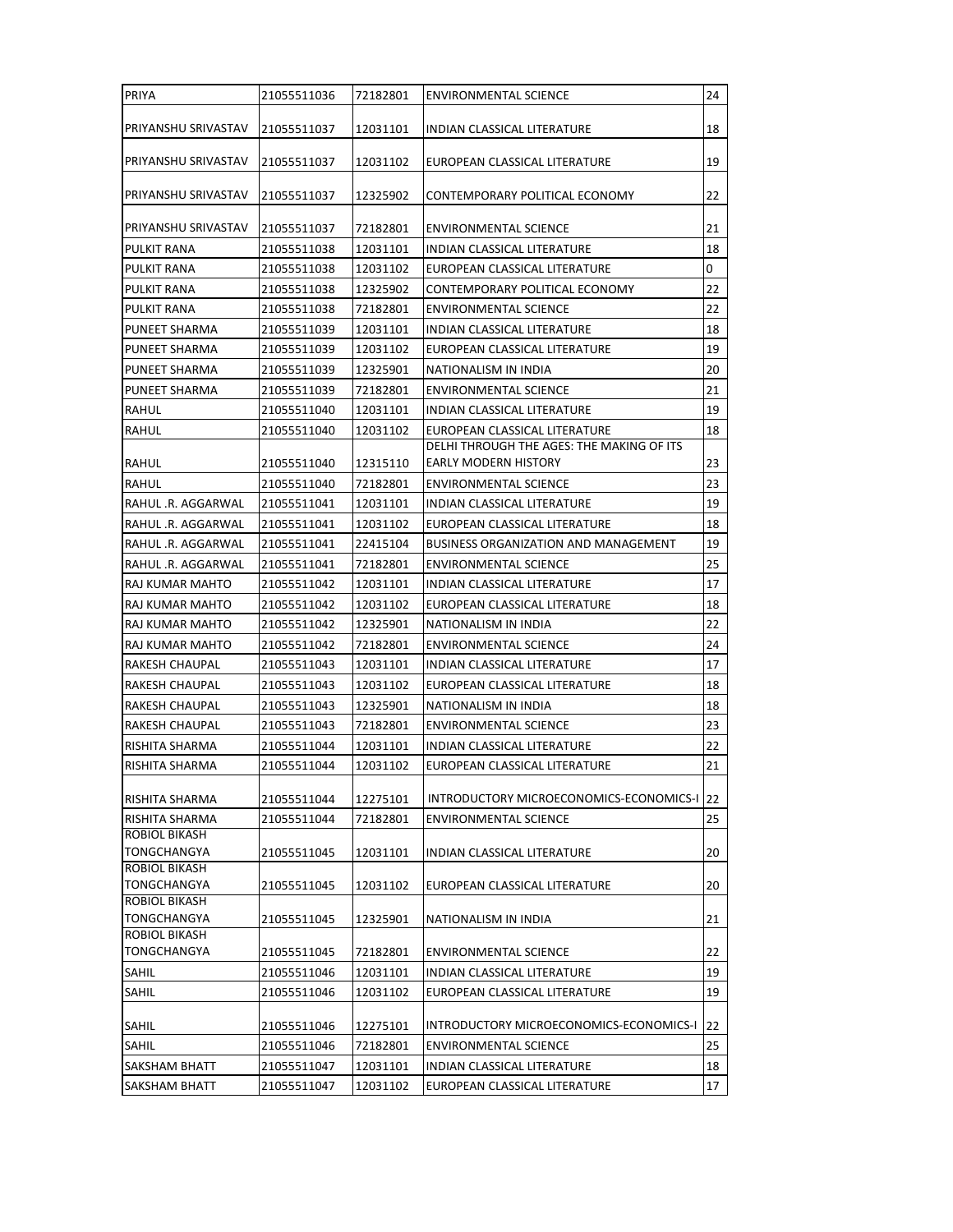| PRIYA                                      | 21055511036 | 72182801             | <b>ENVIRONMENTAL SCIENCE</b>                                             | 24 |
|--------------------------------------------|-------------|----------------------|--------------------------------------------------------------------------|----|
| PRIYANSHU SRIVASTAV                        | 21055511037 | 12031101             | INDIAN CLASSICAL LITERATURE                                              | 18 |
| PRIYANSHU SRIVASTAV                        | 21055511037 | 12031102             | EUROPEAN CLASSICAL LITERATURE                                            | 19 |
| PRIYANSHU SRIVASTAV                        | 21055511037 | 12325902             | CONTEMPORARY POLITICAL ECONOMY                                           | 22 |
| PRIYANSHU SRIVASTAV                        | 21055511037 | 72182801             | ENVIRONMENTAL SCIENCE                                                    | 21 |
| PULKIT RANA                                | 21055511038 | 12031101             | <b>INDIAN CLASSICAL LITERATURE</b>                                       | 18 |
| <b>PULKIT RANA</b>                         | 21055511038 | 12031102             | EUROPEAN CLASSICAL LITERATURE                                            | 0  |
| <b>PULKIT RANA</b>                         | 21055511038 | 12325902             | CONTEMPORARY POLITICAL ECONOMY                                           | 22 |
| PULKIT RANA                                | 21055511038 | 72182801             | ENVIRONMENTAL SCIENCE                                                    | 22 |
| <b>PUNEET SHARMA</b>                       | 21055511039 | 12031101             | INDIAN CLASSICAL LITERATURE                                              | 18 |
| <b>PUNEET SHARMA</b>                       | 21055511039 | 12031102             | EUROPEAN CLASSICAL LITERATURE                                            | 19 |
| PUNEET SHARMA                              | 21055511039 | 12325901             | NATIONALISM IN INDIA                                                     | 20 |
| PUNEET SHARMA                              | 21055511039 | 72182801             | <b>ENVIRONMENTAL SCIENCE</b>                                             | 21 |
| RAHUL                                      | 21055511040 | 12031101             | INDIAN CLASSICAL LITERATURE                                              | 19 |
| RAHUL                                      | 21055511040 | 12031102             | EUROPEAN CLASSICAL LITERATURE                                            | 18 |
| <b>RAHUL</b>                               | 21055511040 | 12315110             | DELHI THROUGH THE AGES: THE MAKING OF ITS<br><b>EARLY MODERN HISTORY</b> | 23 |
| RAHUL                                      | 21055511040 | 72182801             | <b>ENVIRONMENTAL SCIENCE</b>                                             | 23 |
| RAHUL .R. AGGARWAL                         | 21055511041 | 12031101             | INDIAN CLASSICAL LITERATURE                                              | 19 |
| RAHUL .R. AGGARWAL                         | 21055511041 | 12031102             | EUROPEAN CLASSICAL LITERATURE                                            | 18 |
| RAHUL .R. AGGARWAL                         | 21055511041 | 22415104             | <b>BUSINESS ORGANIZATION AND MANAGEMENT</b>                              | 19 |
| RAHUL .R. AGGARWAL                         | 21055511041 | 72182801             | <b>ENVIRONMENTAL SCIENCE</b>                                             | 25 |
| RAJ KUMAR MAHTO                            | 21055511042 | 12031101             | INDIAN CLASSICAL LITERATURE                                              | 17 |
| RAJ KUMAR MAHTO                            | 21055511042 | 12031102             | EUROPEAN CLASSICAL LITERATURE                                            | 18 |
| RAJ KUMAR MAHTO                            | 21055511042 | 12325901             | NATIONALISM IN INDIA                                                     | 22 |
| RAJ KUMAR MAHTO                            | 21055511042 | 72182801             | ENVIRONMENTAL SCIENCE                                                    | 24 |
| RAKESH CHAUPAL                             | 21055511043 | 12031101             | INDIAN CLASSICAL LITERATURE                                              | 17 |
| RAKESH CHAUPAL                             | 21055511043 | 12031102             | EUROPEAN CLASSICAL LITERATURE                                            | 18 |
| RAKESH CHAUPAL                             | 21055511043 | 12325901             | NATIONALISM IN INDIA                                                     | 18 |
| <b>RAKESH CHAUPAL</b>                      | 21055511043 | 72182801             | <b>ENVIRONMENTAL SCIENCE</b>                                             | 23 |
| RISHITA SHARMA                             | 21055511044 | 12031101             | INDIAN CLASSICAL LITERATURE                                              | 22 |
| RISHITA SHARMA                             | 21055511044 | 12031102             | EUROPEAN CLASSICAL LITERATURE                                            | 21 |
|                                            |             |                      |                                                                          |    |
| RISHITA SHARMA                             | 21055511044 | 12275101<br>72182801 | INTRODUCTORY MICROECONOMICS-ECONOMICS-I 22                               |    |
| RISHITA SHARMA<br><b>ROBIOL BIKASH</b>     | 21055511044 |                      | <b>ENVIRONMENTAL SCIENCE</b>                                             | 25 |
| <b>TONGCHANGYA</b>                         | 21055511045 | 12031101             | INDIAN CLASSICAL LITERATURE                                              | 20 |
| ROBIOL BIKASH                              |             |                      |                                                                          |    |
| TONGCHANGYA                                | 21055511045 | 12031102             | EUROPEAN CLASSICAL LITERATURE                                            | 20 |
| <b>ROBIOL BIKASH</b><br><b>TONGCHANGYA</b> |             |                      |                                                                          |    |
| ROBIOL BIKASH                              | 21055511045 | 12325901             | NATIONALISM IN INDIA                                                     | 21 |
| TONGCHANGYA                                | 21055511045 | 72182801             | ENVIRONMENTAL SCIENCE                                                    | 22 |
| <b>SAHIL</b>                               | 21055511046 | 12031101             | INDIAN CLASSICAL LITERATURE                                              | 19 |
| <b>SAHIL</b>                               | 21055511046 | 12031102             | EUROPEAN CLASSICAL LITERATURE                                            | 19 |
|                                            |             |                      |                                                                          |    |
| <b>SAHIL</b>                               | 21055511046 | 12275101             | INTRODUCTORY MICROECONOMICS-ECONOMICS-I                                  | 22 |
| <b>SAHIL</b>                               | 21055511046 | 72182801             | <b>ENVIRONMENTAL SCIENCE</b>                                             | 25 |
| SAKSHAM BHATT                              | 21055511047 | 12031101             | INDIAN CLASSICAL LITERATURE                                              | 18 |
| SAKSHAM BHATT                              | 21055511047 | 12031102             | EUROPEAN CLASSICAL LITERATURE                                            | 17 |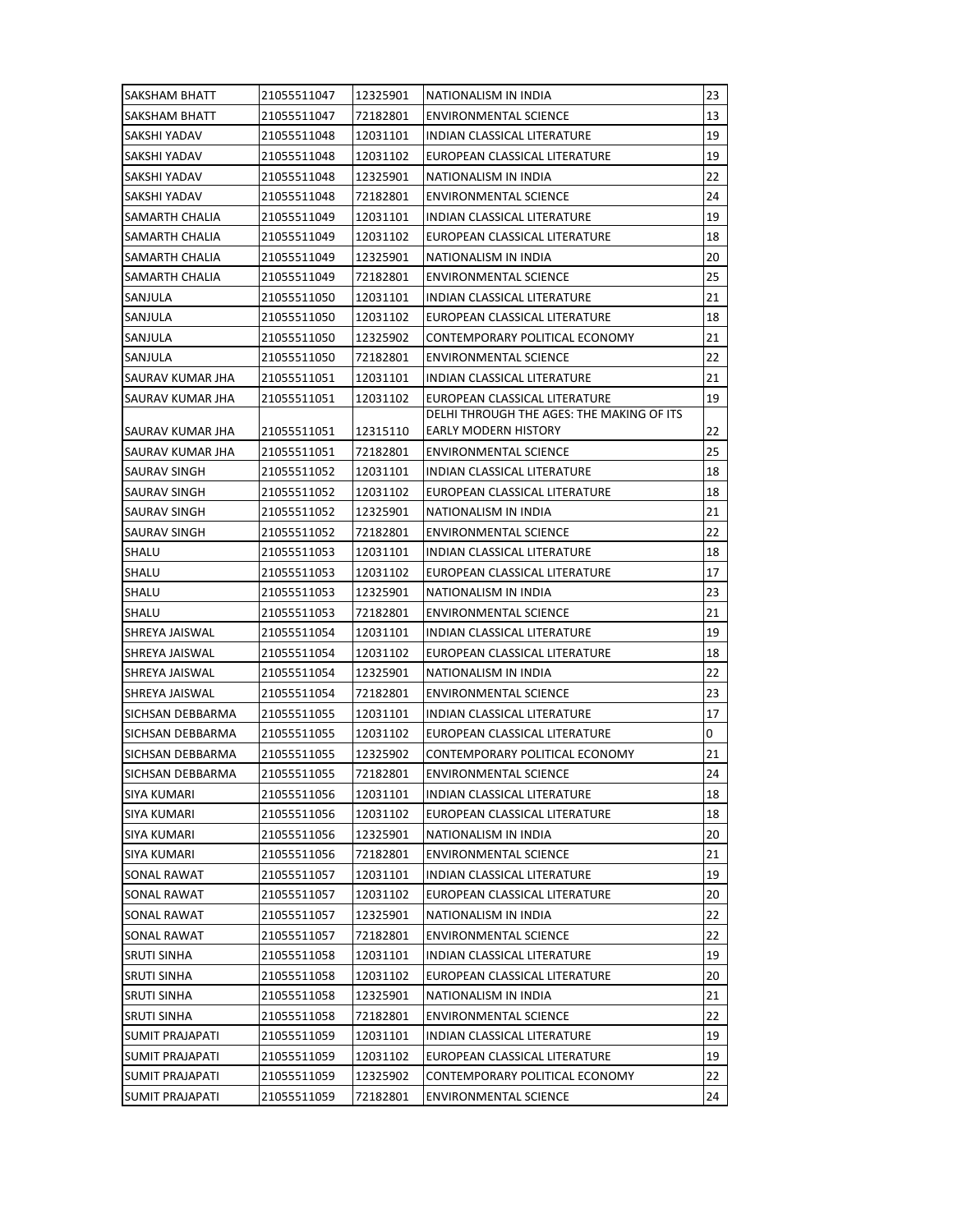| SAKSHAM BHATT         | 21055511047 | 12325901 | NATIONALISM IN INDIA                      | 23 |
|-----------------------|-------------|----------|-------------------------------------------|----|
| SAKSHAM BHATT         | 21055511047 | 72182801 | ENVIRONMENTAL SCIENCE                     | 13 |
| SAKSHI YADAV          | 21055511048 | 12031101 | INDIAN CLASSICAL LITERATURE               | 19 |
| ISAKSHI YADAV         | 21055511048 | 12031102 | EUROPEAN CLASSICAL LITERATURE             | 19 |
| SAKSHI YADAV          | 21055511048 | 12325901 | NATIONALISM IN INDIA                      | 22 |
| SAKSHI YADAV          | 21055511048 | 72182801 | ENVIRONMENTAL SCIENCE                     | 24 |
| <b>SAMARTH CHALIA</b> | 21055511049 | 12031101 | INDIAN CLASSICAL LITERATURE               | 19 |
| <b>SAMARTH CHALIA</b> | 21055511049 | 12031102 | EUROPEAN CLASSICAL LITERATURE             | 18 |
| SAMARTH CHALIA        | 21055511049 | 12325901 | NATIONALISM IN INDIA                      | 20 |
| SAMARTH CHALIA        | 21055511049 | 72182801 | <b>ENVIRONMENTAL SCIENCE</b>              | 25 |
| SANJULA               | 21055511050 | 12031101 | <b>INDIAN CLASSICAL LITERATURE</b>        | 21 |
| SANJULA               | 21055511050 | 12031102 | EUROPEAN CLASSICAL LITERATURE             | 18 |
| SANJULA               | 21055511050 | 12325902 | CONTEMPORARY POLITICAL ECONOMY            | 21 |
| SANJULA               | 21055511050 | 72182801 | ENVIRONMENTAL SCIENCE                     | 22 |
| SAURAV KUMAR JHA      | 21055511051 | 12031101 | INDIAN CLASSICAL LITERATURE               | 21 |
| SAURAV KUMAR JHA      | 21055511051 | 12031102 | EUROPEAN CLASSICAL LITERATURE             | 19 |
|                       |             |          | DELHI THROUGH THE AGES: THE MAKING OF ITS |    |
| ISAURAV KUMAR JHA     | 21055511051 | 12315110 | EARLY MODERN HISTORY                      | 22 |
| SAURAV KUMAR JHA      | 21055511051 | 72182801 | ENVIRONMENTAL SCIENCE                     | 25 |
| SAURAV SINGH          | 21055511052 | 12031101 | <b>INDIAN CLASSICAL LITERATURE</b>        | 18 |
| <b>SAURAV SINGH</b>   | 21055511052 | 12031102 | EUROPEAN CLASSICAL LITERATURE             | 18 |
| <b>SAURAV SINGH</b>   | 21055511052 | 12325901 | NATIONALISM IN INDIA                      | 21 |
| SAURAV SINGH          | 21055511052 | 72182801 | ENVIRONMENTAL SCIENCE                     | 22 |
| <b>SHALU</b>          | 21055511053 | 12031101 | INDIAN CLASSICAL LITERATURE               | 18 |
| <b>SHALU</b>          | 21055511053 | 12031102 | EUROPEAN CLASSICAL LITERATURE             | 17 |
| <b>SHALU</b>          | 21055511053 | 12325901 | NATIONALISM IN INDIA                      | 23 |
| <b>SHALU</b>          | 21055511053 | 72182801 | <b>ENVIRONMENTAL SCIENCE</b>              | 21 |
| <b>SHREYA JAISWAL</b> | 21055511054 | 12031101 | INDIAN CLASSICAL LITERATURE               | 19 |
| ISHREYA JAISWAL       | 21055511054 | 12031102 | EUROPEAN CLASSICAL LITERATURE             | 18 |
| <b>SHREYA JAISWAL</b> | 21055511054 | 12325901 | NATIONALISM IN INDIA                      | 22 |
| <b>SHREYA JAISWAL</b> | 21055511054 | 72182801 | ENVIRONMENTAL SCIENCE                     | 23 |
| ISICHSAN DEBBARMA     | 21055511055 | 12031101 | <b>INDIAN CLASSICAL LITERATURE</b>        | 17 |
| SICHSAN DEBBARMA      | 21055511055 | 12031102 | EUROPEAN CLASSICAL LITERATURE             | 0  |
| SICHSAN DEBBARMA      | 21055511055 | 12325902 | CONTEMPORARY POLITICAL ECONOMY            | 21 |
| SICHSAN DEBBARMA      | 21055511055 | 72182801 | <b>ENVIRONMENTAL SCIENCE</b>              | 24 |
| <b>SIYA KUMARI</b>    | 21055511056 | 12031101 | INDIAN CLASSICAL LITERATURE               | 18 |
| <b>SIYA KUMARI</b>    | 21055511056 | 12031102 | EUROPEAN CLASSICAL LITERATURE             | 18 |
| SIYA KUMARI           | 21055511056 | 12325901 | NATIONALISM IN INDIA                      | 20 |
| <b>SIYA KUMARI</b>    | 21055511056 | 72182801 | <b>ENVIRONMENTAL SCIENCE</b>              | 21 |
| SONAL RAWAT           | 21055511057 | 12031101 | INDIAN CLASSICAL LITERATURE               | 19 |
| SONAL RAWAT           | 21055511057 | 12031102 | EUROPEAN CLASSICAL LITERATURE             | 20 |
| SONAL RAWAT           | 21055511057 | 12325901 | NATIONALISM IN INDIA                      | 22 |
| SONAL RAWAT           | 21055511057 | 72182801 | <b>ENVIRONMENTAL SCIENCE</b>              | 22 |
| <b>SRUTI SINHA</b>    | 21055511058 | 12031101 | INDIAN CLASSICAL LITERATURE               | 19 |
| SRUTI SINHA           | 21055511058 | 12031102 | EUROPEAN CLASSICAL LITERATURE             | 20 |
| <b>SRUTI SINHA</b>    | 21055511058 | 12325901 | NATIONALISM IN INDIA                      | 21 |
| <b>SRUTI SINHA</b>    | 21055511058 | 72182801 | <b>ENVIRONMENTAL SCIENCE</b>              | 22 |
| SUMIT PRAJAPATI       | 21055511059 | 12031101 | INDIAN CLASSICAL LITERATURE               | 19 |
| SUMIT PRAJAPATI       | 21055511059 | 12031102 | EUROPEAN CLASSICAL LITERATURE             | 19 |
| SUMIT PRAJAPATI       | 21055511059 | 12325902 | CONTEMPORARY POLITICAL ECONOMY            | 22 |
| SUMIT PRAJAPATI       | 21055511059 | 72182801 | ENVIRONMENTAL SCIENCE                     | 24 |